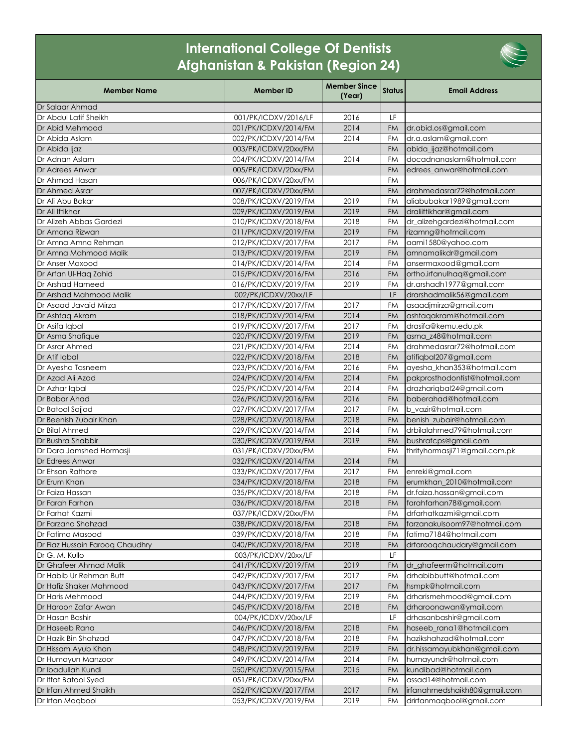## **International College Of Dentists Afghanistan & Pakistan (Region 24)**

| <b>Member Name</b>                          | <b>Member ID</b>                             | <b>Member Since</b><br>(Year) | <b>Status</b> | <b>Email Address</b>                                 |
|---------------------------------------------|----------------------------------------------|-------------------------------|---------------|------------------------------------------------------|
| Dr Salaar Ahmad                             |                                              |                               |               |                                                      |
| Dr Abdul Latif Sheikh                       | 001/PK/ICDXV/2016/LF                         | 2016                          | LF            |                                                      |
| Dr Abid Mehmood                             | 001/PK/ICDXV/2014/FM                         | 2014                          | <b>FM</b>     | dr.abid.os@gmail.com                                 |
| Dr Abida Aslam                              | 002/PK/ICDXV/2014/FM                         | 2014                          | FM            | dr.a.aslam@gmail.com                                 |
| Dr Abida ljaz                               | 003/PK/ICDXV/20xx/FM                         |                               | <b>FM</b>     | abida_ijaz@hotmail.com                               |
| Dr Adnan Aslam                              | 004/PK/ICDXV/2014/FM                         | 2014                          | <b>FM</b>     | docadnanaslam@hotmail.com                            |
| Dr Adrees Anwar                             | 005/PK/ICDXV/20xx/FM                         |                               | <b>FM</b>     | edrees anwar@hotmail.com                             |
| Dr Ahmad Hasan                              | 006/PK/ICDXV/20xx/FM                         |                               | FM            |                                                      |
| Dr Ahmed Asrar                              | 007/PK/ICDXV/20xx/FM                         |                               | <b>FM</b>     | drahmedasrar72@hotmail.com                           |
| Dr Ali Abu Bakar                            | 008/PK/ICDXV/2019/FM                         | 2019                          | FM            | aliabubakar1989@gmail.com                            |
| Dr Ali Iftikhar                             | 009/PK/ICDXV/2019/FM                         | 2019                          | <b>FM</b>     | draliiftikhar@gmail.com                              |
| Dr Alizeh Abbas Gardezi                     | 010/PK/ICDXV/2018/FM                         | 2018                          | FM            | dr_alizehgardezi@hotmail.com                         |
| Dr Amana Rizwan                             | 011/PK/ICDXV/2019/FM                         | 2019                          | <b>FM</b>     | rizamng@hotmail.com                                  |
| Dr Amna Amna Rehman                         | 012/PK/ICDXV/2017/FM                         | 2017                          | FM            | aami1580@yahoo.com                                   |
| Dr Amna Mahmood Malik                       | 013/PK/ICDXV/2019/FM                         | 2019                          | <b>FM</b>     | amnamalikdr@gmail.com                                |
| Dr Anser Maxood                             | 014/PK/ICDXV/2014/FM                         | 2014                          | <b>FM</b>     | ansermaxood@gmail.com                                |
| Dr Arfan Ul-Hag Zahid                       | 015/PK/ICDXV/2016/FM                         | 2016                          | <b>FM</b>     | ortho.irfanulhaq@gmail.com                           |
| Dr Arshad Hameed                            | 016/PK/ICDXV/2019/FM                         | 2019                          | FM            | dr.arshadh1977@gmail.com                             |
| Dr Arshad Mahmood Malik                     | 002/PK/ICDXV/20xx/LF                         |                               | LF.           | drarshadmalik56@gmail.com                            |
| Dr Asaad Javaid Mirza                       | 017/PK/ICDXV/2017/FM                         | 2017                          | FM            | asaadjmirza@gmail.com                                |
| Dr Ashfaq Akram                             | 018/PK/ICDXV/2014/FM                         | 2014                          | <b>FM</b>     | ashfaqakram@hotmail.com                              |
| Dr Asifa Iqbal                              | 019/PK/ICDXV/2017/FM                         | 2017                          | FM            | drasifa@kemu.edu.pk                                  |
| Dr Asma Shafique                            | 020/PK/ICDXV/2019/FM                         | 2019                          | <b>FM</b>     | asma z48@hotmail.com                                 |
| Dr Asrar Ahmed                              | 021/PK/ICDXV/2014/FM                         | 2014                          | <b>FM</b>     | drahmedasrar72@hotmail.com                           |
| Dr Atif Iqbal                               | 022/PK/ICDXV/2018/FM                         | 2018                          | <b>FM</b>     | atifiqbal207@gmail.com                               |
| Dr Ayesha Tasneem                           | 023/PK/ICDXV/2016/FM                         | 2016                          | FM            | ayesha_khan353@hotmail.com                           |
| Dr Azad Ali Azad                            | 024/PK/ICDXV/2014/FM                         | 2014                          | <b>FM</b>     | pakprosthodontist@hotmail.com                        |
| Dr Azhar Igbal                              | 025/PK/ICDXV/2014/FM                         | 2014                          | FM            | drazharigbal24@gmail.com                             |
| Dr Babar Ahad                               | 026/PK/ICDXV/2016/FM                         | 2016                          | FM            | baberahad@hotmail.com                                |
| Dr Batool Sajjad                            | 027/PK/ICDXV/2017/FM                         | 2017                          | <b>FM</b>     | b vazir@hotmail.com                                  |
| Dr Beenish Zubair Khan                      | 028/PK/ICDXV/2018/FM                         | 2018                          | <b>FM</b>     | benish zubair@hotmail.com                            |
| Dr Bilal Ahmed                              | 029/PK/ICDXV/2014/FM                         | 2014                          | <b>FM</b>     | drbilalahmed79@hotmail.com                           |
| Dr Bushra Shabbir                           | 030/PK/ICDXV/2019/FM                         | 2019                          | <b>FM</b>     | bushrafcps@gmail.com                                 |
| Dr Dara Jamshed Hormasji                    | 031/PK/ICDXV/20xx/FM                         |                               | FM            | thrityhormasji71@gmail.com.pk                        |
| Dr Edrees Anwar                             | 032/PK/ICDXV/2014/FM                         | 2014                          | <b>FM</b>     |                                                      |
| Dr Ehsan Rathore                            | 033/PK/ICDXV/2017/FM                         | 2017                          | <b>FM</b>     | enreki@gmail.com                                     |
| Dr Erum Khan                                | 034/PK/ICDXV/2018/FM                         | 2018                          | <b>FM</b>     | erumkhan_2010@hotmail.com                            |
| Dr Faiza Hassan                             | 035/PK/ICDXV/2018/FM                         | 2018                          | <b>FM</b>     | dr.faiza.hassan@gmail.com                            |
| Dr Farah Farhan                             | 036/PK/ICDXV/2018/FM                         | 2018                          | FM            | farahfarhan78@gmail.com                              |
| Dr Farhat Kazmi                             | 037/PK/ICDXV/20xx/FM                         |                               | FM            | drfarhatkazmi@gmail.com                              |
| Dr Farzana Shahzad                          | 038/PK/ICDXV/2018/FM                         | 2018                          | <b>FM</b>     | farzanakulsoom97@hotmail.com                         |
| Dr Fatima Masood                            | 039/PK/ICDXV/2018/FM                         | 2018                          | FM            | fatima7184@hotmail.com                               |
| Dr Fiaz Hussain Faroog Chaudhry             | 040/PK/ICDXV/2018/FM                         | 2018                          | FM            | drfaroogchaudary@gmail.com                           |
| Dr G. M. Kullo                              | 003/PK/ICDXV/20xx/LF                         |                               | LF            |                                                      |
| Dr Ghafeer Ahmad Malik                      | 041/PK/ICDXV/2019/FM                         | 2019                          | <b>FM</b>     | dr ghafeerm@hotmail.com                              |
| Dr Habib Ur Rehman Butt                     | 042/PK/ICDXV/2017/FM                         | 2017                          | FM            | drhabibbutt@hotmail.com                              |
| Dr Hafiz Shaker Mahmood                     | 043/PK/ICDXV/2017/FM                         | 2017                          | <b>FM</b>     | hsmpk@hotmail.com                                    |
| Dr Haris Mehmood                            | 044/PK/ICDXV/2019/FM                         | 2019                          | FM            | drharismehmood@gmail.com                             |
| Dr Haroon Zafar Awan                        | 045/PK/ICDXV/2018/FM                         | 2018                          | FM<br>LF      | drharoonawan@ymail.com                               |
| Dr Hasan Bashir<br>Dr Haseeb Rana           | 004/PK/ICDXV/20xx/LF<br>046/PK/ICDXV/2018/FM | 2018                          | <b>FM</b>     | drhasanbashir@gmail.com<br>haseeb_rana1@hotmail.com  |
|                                             |                                              |                               |               |                                                      |
| Dr Hazik Bin Shahzad<br>Dr Hissam Ayub Khan | 047/PK/ICDXV/2018/FM                         | 2018<br>2019                  | FM<br>FM      | hazikshahzad@hotmail.com                             |
| Dr Humayun Manzoor                          | 048/PK/ICDXV/2019/FM<br>049/PK/ICDXV/2014/FM | 2014                          | FM            | dr.hissamayubkhan@gmail.com<br>humayundr@hotmail.com |
| Dr Ibadullah Kundi                          | 050/PK/ICDXV/2015/FM                         | 2015                          | <b>FM</b>     | kundibad@hotmail.com                                 |
| Dr Iffat Batool Syed                        | 051/PK/ICDXV/20xx/FM                         |                               | FM            | assad14@hotmail.com                                  |
| Dr Irfan Ahmed Shaikh                       | 052/PK/ICDXV/2017/FM                         | 2017                          | <b>FM</b>     | irfanahmedshaikh80@gmail.com                         |
| Dr Irfan Magbool                            | 053/PK/ICDXV/2019/FM                         | 2019                          | FM            | drirfanmaqbool@gmail.com                             |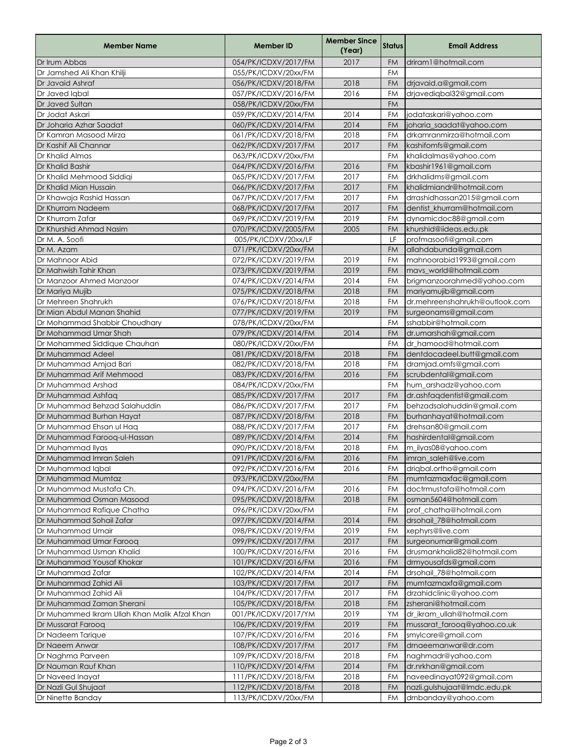| <b>Member Name</b>                            | <b>Member ID</b>     | <b>Member Since</b><br>(Year) | <b>Status</b> | <b>Email Address</b>           |
|-----------------------------------------------|----------------------|-------------------------------|---------------|--------------------------------|
| Dr Irum Abbas                                 | 054/PK/ICDXV/2017/FM | 2017                          | <b>FM</b>     | driram1@hotmail.com            |
| Dr Jamshed Ali Khan Khilji                    | 055/PK/ICDXV/20xx/FM |                               | <b>FM</b>     |                                |
| Dr Javaid Ashraf                              | 056/PK/ICDXV/2018/FM | 2018                          | <b>FM</b>     | drjavaid.a@gmail.com           |
| Dr Javed labal                                | 057/PK/ICDXV/2016/FM | 2016                          | <b>FM</b>     | drjavediqbal32@gmail.com       |
| Dr Javed Sultan                               | 058/PK/ICDXV/20xx/FM |                               | <b>FM</b>     |                                |
| Dr Jodat Askari                               | 059/PK/ICDXV/2014/FM | 2014                          | FM            | jodataskari@yahoo.com          |
| Dr Joharia Azhar Saadat                       | 060/PK/ICDXV/2014/FM | 2014                          | <b>FM</b>     | joharia_saadat@yahoo.com       |
| Dr Kamran Masood Mirza                        | 061/PK/ICDXV/2018/FM | 2018                          | <b>FM</b>     | drkamranmirza@hotmail.com      |
| Dr Kashif Ali Channar                         | 062/PK/ICDXV/2017/FM | 2017                          | <b>FM</b>     | kashifomfs@gmail.com           |
| Dr Khalid Almas                               | 063/PK/ICDXV/20xx/FM |                               | FM            | khalidalmas@yahoo.com          |
| Dr Khalid Bashir                              | 064/PK/ICDXV/2016/FM | 2016                          | <b>FM</b>     | kbashir1961@gmail.com          |
| Dr Khalid Mehmood Siddiqi                     | 065/PK/ICDXV/2017/FM | 2017                          | <b>FM</b>     | drkhalidms@gmail.com           |
| Dr Khalid Mian Hussain                        | 066/PK/ICDXV/2017/FM | 2017                          | <b>FM</b>     | khalidmiandr@hotmail.com       |
| Dr Khawaja Rashid Hassan                      | 067/PK/ICDXV/2017/FM | 2017                          | FM            | drrashidhassan2015@gmail.com   |
| Dr Khurram Nadeem                             | 068/PK/ICDXV/2017/FM | 2017                          | <b>FM</b>     | dentist_khurram@hotmail.com    |
| Dr Khurram Zafar                              | 069/PK/ICDXV/2019/FM | 2019                          | <b>FM</b>     | dynamicdoc88@gmail.com         |
| Dr Khurshid Ahmad Nasim                       | 070/PK/ICDXV/2005/FM | 2005                          | <b>FM</b>     | khurshid@iideas.edu.pk         |
| Dr M. A. Soofi                                | 005/PK/ICDXV/20xx/LF |                               | LF            | profmasoofi@gmail.com          |
| Dr M. Azam                                    | 071/PK/ICDXV/20xx/FM |                               | <b>FM</b>     | allahdabunda@gmail.com         |
| Dr Mahnoor Abid                               | 072/PK/ICDXV/2019/FM | 2019                          | FM            | mahnoorabid1993@gmail.com      |
| Dr Mahwish Tahir Khan                         | 073/PK/ICDXV/2019/FM | 2019                          | <b>FM</b>     | mavs_world@hotmail.com         |
| Dr Manzoor Ahmed Manzoor                      | 074/PK/ICDXV/2014/FM | 2014                          | FM            | brigmanzoorahmed@yahoo.com     |
| Dr Mariya Mujib                               | 075/PK/ICDXV/2018/FM | 2018                          | <b>FM</b>     | mariyamujib@gmail.com          |
| Dr Mehreen Shahrukh                           | 076/PK/ICDXV/2018/FM | 2018                          | <b>FM</b>     | dr.mehreenshahrukh@outlook.com |
| Dr Mian Abdul Manan Shahid                    | 077/PK/ICDXV/2019/FM | 2019                          | <b>FM</b>     | surgeonams@gmail.com           |
| Dr Mohammad Shabbir Choudhary                 | 078/PK/ICDXV/20xx/FM |                               | <b>FM</b>     | sshabbir@hotmail.com           |
| Dr Mohammad Umar Shah                         | 079/PK/ICDXV/2014/FM | 2014                          | <b>FM</b>     | dr.umarshah@gmail.com          |
| Dr Mohammed Siddique Chauhan                  | 080/PK/ICDXV/20xx/FM |                               | FM            | dr_hamood@hotmail.com          |
| Dr Muhammad Adeel                             | 081/PK/ICDXV/2018/FM | 2018                          | <b>FM</b>     | dentdocadeel.butt@gmail.com    |
| Dr Muhammad Amjad Bari                        | 082/PK/ICDXV/2018/FM | 2018                          | <b>FM</b>     | dramjad.omfs@gmail.com         |
| Dr Muhammad Arif Mehmood                      | 083/PK/ICDXV/2016/FM | 2016                          | <b>FM</b>     | scrubdental@gmail.com          |
| Dr Muhammad Arshad                            | 084/PK/ICDXV/20xx/FM |                               | FM            | hum_arshadz@yahoo.com          |
| Dr Muhammad Ashfaq                            | 085/PK/ICDXV/2017/FM | 2017                          | <b>FM</b>     | dr.ashfaqdentist@gmail.com     |
| Dr Muhammad Behzad Salahuddin                 | 086/PK/ICDXV/2017/FM | 2017                          | <b>FM</b>     | behzadsalahuddin@gmail.com     |
| Dr Muhammad Burhan Hayat                      | 087/PK/ICDXV/2018/FM | 2018                          | <b>FM</b>     | burhanhayat@hotmail.com        |
| Dr Muhammad Ehsan ul Haq                      | 088/PK/ICDXV/2017/FM | 2017                          | FM            | drehsan80@gmail.com            |
| Dr Muhammad Farooq-ul-Hassan                  | 089/PK/ICDXV/2014/FM | 2014                          | <b>FM</b>     | hashirdental@gmail.com         |
| Dr Muhammad Ilyas                             | 090/PK/ICDXV/2018/FM | 2018                          | <b>FM</b>     | m_ilyas08@yahoo.com            |
| Dr Muhammad Imran Saleh                       | 091/PK/ICDXV/2016/FM | 2016                          | FM            | imran_saleh@live.com           |
| Dr Muhammad Iqbal                             | 092/PK/ICDXV/2016/FM | 2016                          | FM            | drigbal.ortho@gmail.com        |
| Dr Muhammad Mumtaz                            | 093/PK/ICDXV/20xx/FM |                               | <b>FM</b>     | mumtazmaxfac@gmail.com         |
| Dr Muhammad Mustafa Ch.                       | 094/PK/ICDXV/2016/FM | 2016                          | FM            | doctrmustafa@hotmail.com       |
| Dr Muhammad Osman Masood                      | 095/PK/ICDXV/2018/FM | 2018                          | <b>FM</b>     | osman5604@hotmail.com          |
| Dr Muhammad Rafique Chatha                    | 096/PK/ICDXV/20xx/FM |                               | FM            | prof chatha@hotmail.com        |
| Dr Muhammad Sohail Zafar                      | 097/PK/ICDXV/2014/FM | 2014                          | <b>FM</b>     | drsohail_78@hotmail.com        |
| Dr Muhammad Umair                             | 098/PK/ICDXV/2019/FM | 2019                          | FM            | xephyrs@live.com               |
| Dr Muhammad Umar Farooq                       | 099/PK/ICDXV/2017/FM | 2017                          | <b>FM</b>     | surgeonumar@gmail.com          |
| Dr Muhammad Usman Khalid                      | 100/PK/ICDXV/2016/FM | 2016                          | FM            | drusmankhalid82@hotmail.com    |
| Dr Muhammad Yousaf Khokar                     | 101/PK/ICDXV/2016/FM | 2016                          | <b>FM</b>     | drmyousafds@gmail.com          |
| Dr Muhammad Zafar                             | 102/PK/ICDXV/2014/FM | 2014                          | FM            | drsohail_78@hotmail.com        |
| Dr Muhammad Zahid Ali                         | 103/PK/ICDXV/2017/FM | 2017                          | <b>FM</b>     | mumtazmaxfa@gmail.com          |
| Dr Muhammad Zahid Ali                         | 104/PK/ICDXV/2017/FM | 2017                          | FM            | drzahidclinic@yahoo.com        |
| Dr Muhammad Zaman Sherani                     | 105/PK/ICDXV/2018/FM | 2018                          | <b>FM</b>     | zsherani@hotmail.com           |
| Dr Muhammed Ikram Ullah Khan Malik Afzal Khan | 001/PK/ICDXV/2017/YM | 2019                          | YM            | dr_ikram_ullah@hotmail.com     |
| Dr Mussarat Faroog                            | 106/PK/ICDXV/2019/FM | 2019                          | <b>FM</b>     | mussarat_farooq@yahoo.co.uk    |
| Dr Nadeem Tarique                             | 107/PK/ICDXV/2016/FM | 2016                          | FM            | smylcare@gmail.com             |
| Dr Naeem Anwar                                | 108/PK/ICDXV/2017/FM | 2017                          | <b>FM</b>     | drnaeemanwar@dr.com            |
| Dr Naghma Parveen                             | 109/PK/ICDXV/2018/FM | 2018                          | FM            | naghmadr@yahoo.com             |
| Dr Nauman Rauf Khan                           | 110/PK/ICDXV/2014/FM | 2014                          | <b>FM</b>     | dr.nrkhan@gmail.com            |
| Dr Naveed Inayat                              | 111/PK/ICDXV/2018/FM | 2018                          | FM            | naveedinayat092@gmail.com      |
| Dr Nazli Gul Shujaat                          | 112/PK/ICDXV/2018/FM | 2018                          | <b>FM</b>     | nazli.gulshujaat@Imdc.edu.pk   |
| Dr Ninette Banday                             | 113/PK/ICDXV/20xx/FM |                               | <b>FM</b>     | drnbanday@yahoo.com            |